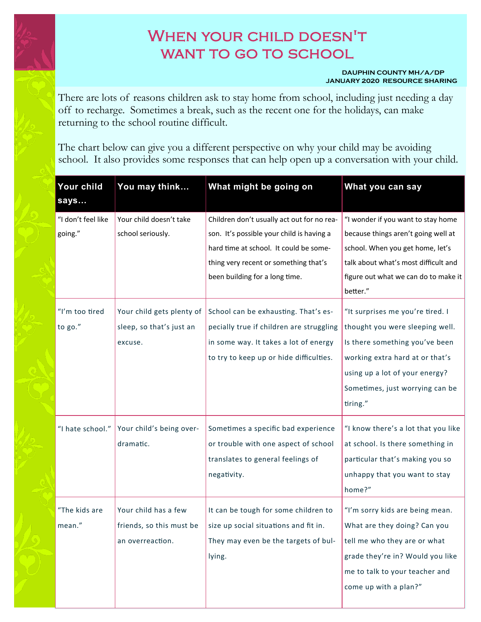## When your child doesn't WANT TO GO TO SCHOOL

## **DAUPHIN COUNTY MH/A/DP JANUARY 2020 RESOURCE SHARING**

There are lots of reasons children ask to stay home from school, including just needing a day off to recharge. Sometimes a break, such as the recent one for the holidays, can make returning to the school routine difficult.

The chart below can give you a different perspective on why your child may be avoiding school. It also provides some responses that can help open up a conversation with your child.

| Your child<br>says | You may think             | What might be going on                     | What you can say                     |
|--------------------|---------------------------|--------------------------------------------|--------------------------------------|
| "I don't feel like | Your child doesn't take   | Children don't usually act out for no rea- | "I wonder if you want to stay home   |
| going."            | school seriously.         | son. It's possible your child is having a  | because things aren't going well at  |
|                    |                           | hard time at school. It could be some-     | school. When you get home, let's     |
|                    |                           | thing very recent or something that's      | talk about what's most difficult and |
|                    |                           | been building for a long time.             | figure out what we can do to make it |
|                    |                           |                                            | better."                             |
| "I'm too tired     | Your child gets plenty of | School can be exhausting. That's es-       | "It surprises me you're tired. I     |
| to go."            | sleep, so that's just an  | pecially true if children are struggling   | thought you were sleeping well.      |
|                    | excuse.                   | in some way. It takes a lot of energy      | Is there something you've been       |
|                    |                           | to try to keep up or hide difficulties.    | working extra hard at or that's      |
|                    |                           |                                            | using up a lot of your energy?       |
|                    |                           |                                            | Sometimes, just worrying can be      |
|                    |                           |                                            | tiring."                             |
| "I hate school."   | Your child's being over-  | Sometimes a specific bad experience        | "I know there's a lot that you like  |
|                    | dramatic.                 | or trouble with one aspect of school       | at school. Is there something in     |
|                    |                           | translates to general feelings of          | particular that's making you so      |
|                    |                           | negativity.                                | unhappy that you want to stay        |
|                    |                           |                                            | home?"                               |
| "The kids are      | Your child has a few      | It can be tough for some children to       | "I'm sorry kids are being mean.      |
| mean."             | friends, so this must be  | size up social situations and fit in.      | What are they doing? Can you         |
|                    | an overreaction.          | They may even be the targets of bul-       | tell me who they are or what         |
|                    |                           | lying.                                     | grade they're in? Would you like     |
|                    |                           |                                            | me to talk to your teacher and       |
|                    |                           |                                            | come up with a plan?"                |
|                    |                           |                                            |                                      |